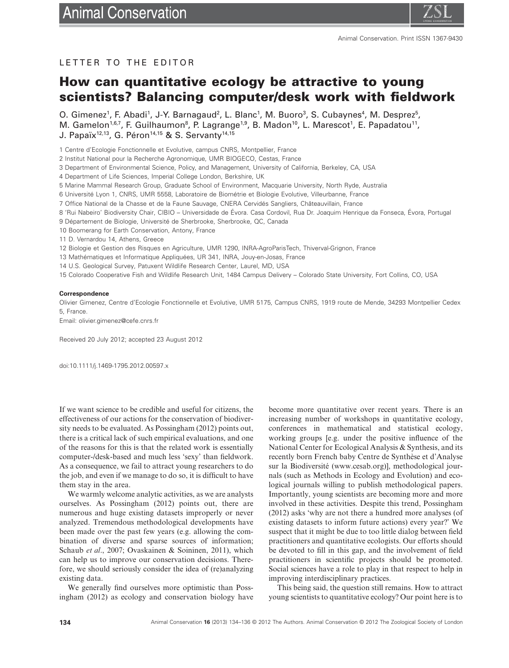

## LETTER TO THE EDITOR

# **How can quantitative ecology be attractive to young scientists? Balancing computer/desk work with fieldwork**

O. Gimenez<sup>1</sup>, F. Abadi<sup>1</sup>, J-Y. Barnagaud<sup>2</sup>, L. Blanc<sup>1</sup>, M. Buoro<sup>3</sup>, S. Cubaynes<sup>4</sup>, M. Desprez<sup>5</sup>, M. Gamelon<sup>1,6,7</sup>, F. Guilhaumon<sup>8</sup>, P. Lagrange<sup>1,9</sup>, B. Madon<sup>10</sup>, L. Marescot<sup>1</sup>, E. Papadatou<sup>11</sup>, J. Papaïx<sup>12,13</sup>, G. Péron<sup>14,15</sup> & S. Servanty<sup>14,15</sup>

1 Centre d'Ecologie Fonctionnelle et Evolutive, campus CNRS, Montpellier, France

2 Institut National pour la Recherche Agronomique, UMR BIOGECO, Cestas, France

3 Department of Environmental Science, Policy, and Management, University of California, Berkeley, CA, USA

4 Department of Life Sciences, Imperial College London, Berkshire, UK

5 Marine Mammal Research Group, Graduate School of Environment, Macquarie University, North Ryde, Australia

6 Université Lyon 1, CNRS, UMR 5558, Laboratoire de Biométrie et Biologie Evolutive, Villeurbanne, France

7 Office National de la Chasse et de la Faune Sauvage, CNERA Cervidés Sangliers, Châteauvillain, France

8 'Rui Nabeiro' Biodiversity Chair, CIBIO – Universidade de Évora. Casa Cordovil, Rua Dr. Joaquim Henrique da Fonseca, Évora, Portugal

9 Département de Biologie, Université de Sherbrooke, Sherbrooke, QC, Canada

10 Boomerang for Earth Conservation, Antony, France

11 D. Vernardou 14, Athens, Greece

12 Biologie et Gestion des Risques en Agriculture, UMR 1290, INRA-AgroParisTech, Thiverval-Grignon, France

13 Mathématiques et Informatique Appliquées, UR 341, INRA, Jouy-en-Josas, France

14 U.S. Geological Survey, Patuxent Wildlife Research Center, Laurel, MD, USA

15 Colorado Cooperative Fish and Wildlife Research Unit, 1484 Campus Delivery – Colorado State University, Fort Collins, CO, USA

#### **Correspondence**

Olivier Gimenez, Centre d'Ecologie Fonctionnelle et Evolutive, UMR 5175, Campus CNRS, 1919 route de Mende, 34293 Montpellier Cedex 5, France.

Email: olivier.gimenez@cefe.cnrs.fr

Received 20 July 2012; accepted 23 August 2012

doi:10.1111/j.1469-1795.2012.00597.x

If we want science to be credible and useful for citizens, the effectiveness of our actions for the conservation of biodiversity needs to be evaluated. As Possingham (2012) points out, there is a critical lack of such empirical evaluations, and one of the reasons for this is that the related work is essentially computer-/desk-based and much less 'sexy' than fieldwork. As a consequence, we fail to attract young researchers to do the job, and even if we manage to do so, it is difficult to have them stay in the area.

We warmly welcome analytic activities, as we are analysts ourselves. As Possingham (2012) points out, there are numerous and huge existing datasets improperly or never analyzed. Tremendous methodological developments have been made over the past few years (e.g. allowing the combination of diverse and sparse sources of information; Schaub *et al*., 2007; Ovaskainen & Soininen, 2011), which can help us to improve our conservation decisions. Therefore, we should seriously consider the idea of (re)analyzing existing data.

We generally find ourselves more optimistic than Possingham (2012) as ecology and conservation biology have become more quantitative over recent years. There is an increasing number of workshops in quantitative ecology, conferences in mathematical and statistical ecology, working groups [e.g. under the positive influence of the National Center for Ecological Analysis & Synthesis, and its recently born French baby Centre de Synthèse et d'Analyse sur la Biodiversité (www.cesab.org)], methodological journals (such as Methods in Ecology and Evolution) and ecological journals willing to publish methodological papers. Importantly, young scientists are becoming more and more involved in these activities. Despite this trend, Possingham (2012) asks 'why are not there a hundred more analyses (of existing datasets to inform future actions) every year?' We suspect that it might be due to too little dialog between field practitioners and quantitative ecologists. Our efforts should be devoted to fill in this gap, and the involvement of field practitioners in scientific projects should be promoted. Social sciences have a role to play in that respect to help in improving interdisciplinary practices.

This being said, the question still remains. How to attract young scientists to quantitative ecology? Our point here is to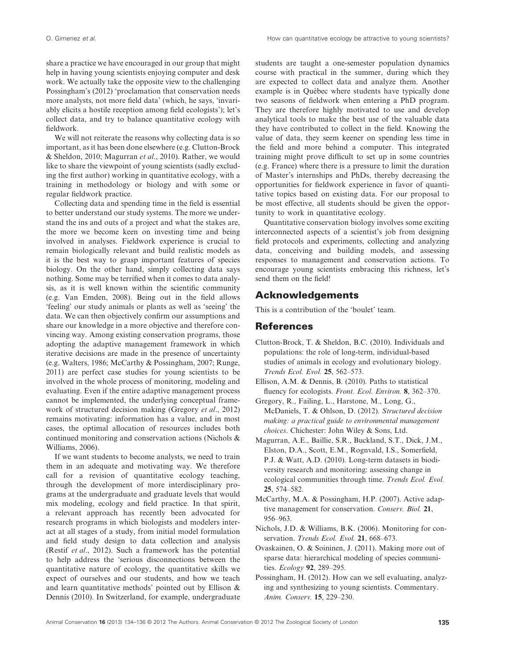share a practice we have encouraged in our group that might help in having young scientists enjoying computer and desk work. We actually take the opposite view to the challenging Possingham's (2012) 'proclamation that conservation needs more analysts, not more field data' (which, he says, 'invariably elicits a hostile reception among field ecologists'); let's collect data, and try to balance quantitative ecology with fieldwork.

We will not reiterate the reasons why collecting data is so important, as it has been done elsewhere (e.g. Clutton-Brock & Sheldon, 2010; Magurran *et al*., 2010). Rather, we would like to share the viewpoint of young scientists (sadly excluding the first author) working in quantitative ecology, with a training in methodology or biology and with some or regular fieldwork practice.

Collecting data and spending time in the field is essential to better understand our study systems. The more we understand the ins and outs of a project and what the stakes are, the more we become keen on investing time and being involved in analyses. Fieldwork experience is crucial to remain biologically relevant and build realistic models as it is the best way to grasp important features of species biology. On the other hand, simply collecting data says nothing. Some may be terrified when it comes to data analysis, as it is well known within the scientific community (e.g. Van Emden, 2008). Being out in the field allows 'feeling' our study animals or plants as well as 'seeing' the data. We can then objectively confirm our assumptions and share our knowledge in a more objective and therefore convincing way. Among existing conservation programs, those adopting the adaptive management framework in which iterative decisions are made in the presence of uncertainty (e.g. Walters, 1986; McCarthy & Possingham, 2007; Runge, 2011) are perfect case studies for young scientists to be involved in the whole process of monitoring, modeling and evaluating. Even if the entire adaptive management process cannot be implemented, the underlying conceptual framework of structured decision making (Gregory *et al*., 2012) remains motivating: information has a value, and in most cases, the optimal allocation of resources includes both continued monitoring and conservation actions (Nichols & Williams, 2006).

If we want students to become analysts, we need to train them in an adequate and motivating way. We therefore call for a revision of quantitative ecology teaching, through the development of more interdisciplinary programs at the undergraduate and graduate levels that would mix modeling, ecology and field practice. In that spirit, a relevant approach has recently been advocated for research programs in which biologists and modelers interact at all stages of a study, from initial model formulation and field study design to data collection and analysis (Restif *et al*., 2012). Such a framework has the potential to help address the 'serious disconnections between the quantitative nature of ecology, the quantitative skills we expect of ourselves and our students, and how we teach and learn quantitative methods' pointed out by Ellison & Dennis (2010). In Switzerland, for example, undergraduate students are taught a one-semester population dynamics course with practical in the summer, during which they are expected to collect data and analyze them. Another example is in Québec where students have typically done two seasons of fieldwork when entering a PhD program. They are therefore highly motivated to use and develop analytical tools to make the best use of the valuable data they have contributed to collect in the field. Knowing the value of data, they seem keener on spending less time in the field and more behind a computer. This integrated training might prove difficult to set up in some countries (e.g. France) where there is a pressure to limit the duration of Master's internships and PhDs, thereby decreasing the opportunities for fieldwork experience in favor of quantitative topics based on existing data. For our proposal to be most effective, all students should be given the opportunity to work in quantitative ecology.

Quantitative conservation biology involves some exciting interconnected aspects of a scientist's job from designing field protocols and experiments, collecting and analyzing data, conceiving and building models, and assessing responses to management and conservation actions. To encourage young scientists embracing this richness, let's send them on the field!

# **Acknowledgements**

This is a contribution of the 'boulet' team.

### **References**

- Clutton-Brock, T. & Sheldon, B.C. (2010). Individuals and populations: the role of long-term, individual-based studies of animals in ecology and evolutionary biology. *Trends Ecol. Evol.* **25**, 562–573.
- Ellison, A.M. & Dennis, B. (2010). Paths to statistical fluency for ecologists. *Front. Ecol. Environ.* **8**, 362–370.
- Gregory, R., Failing, L., Harstone, M., Long, G., McDaniels, T. & Ohlson, D. (2012). *Structured decision making: a practical guide to environmental management choices*. Chichester: John Wiley & Sons, Ltd.
- Magurran, A.E., Baillie, S.R., Buckland, S.T., Dick, J.M., Elston, D.A., Scott, E.M., Rognvald, I.S., Somerfield, P.J. & Watt, A.D. (2010). Long-term datasets in biodiversity research and monitoring: assessing change in ecological communities through time. *Trends Ecol. Evol.* **25**, 574–582.
- McCarthy, M.A. & Possingham, H.P. (2007). Active adaptive management for conservation. *Conserv. Biol.* **21**, 956–963.
- Nichols, J.D. & Williams, B.K. (2006). Monitoring for conservation. *Trends Ecol. Evol.* **21**, 668–673.
- Ovaskainen, O. & Soininen, J. (2011). Making more out of sparse data: hierarchical modeling of species communities. *Ecology* **92**, 289–295.
- Possingham, H. (2012). How can we sell evaluating, analyzing and synthesizing to young scientists. Commentary. *Anim. Conserv.* **15**, 229–230.